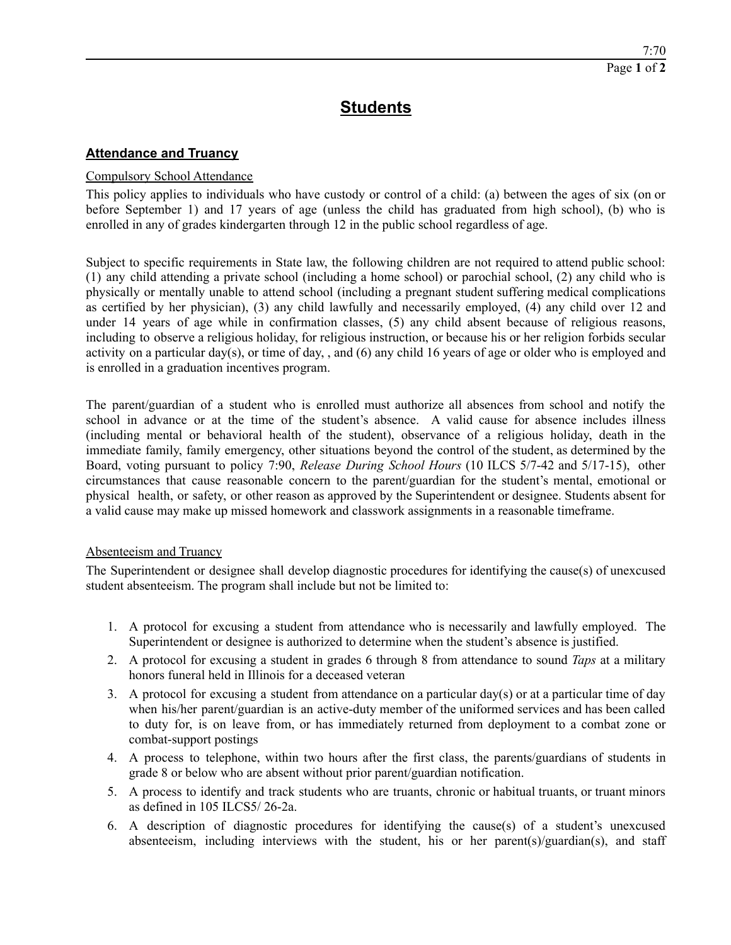## **Students**

## **Attendance and Truancy**

## Compulsory School Attendance

This policy applies to individuals who have custody or control of a child: (a) between the ages of six (on or before September 1) and 17 years of age (unless the child has graduated from high school), (b) who is enrolled in any of grades kindergarten through 12 in the public school regardless of age.

Subject to specific requirements in State law, the following children are not required to attend public school: (1) any child attending a private school (including a home school) or parochial school, (2) any child who is physically or mentally unable to attend school (including a pregnant student suffering medical complications as certified by her physician), (3) any child lawfully and necessarily employed, (4) any child over 12 and under 14 years of age while in confirmation classes, (5) any child absent because of religious reasons, including to observe a religious holiday, for religious instruction, or because his or her religion forbids secular activity on a particular day(s), or time of day, , and (6) any child 16 years of age or older who is employed and is enrolled in a graduation incentives program.

The parent/guardian of a student who is enrolled must authorize all absences from school and notify the school in advance or at the time of the student's absence. A valid cause for absence includes illness (including mental or behavioral health of the student), observance of a religious holiday, death in the immediate family, family emergency, other situations beyond the control of the student, as determined by the Board, voting pursuant to policy 7:90, *Release During School Hours* (10 ILCS 5/7-42 and 5/17-15), other circumstances that cause reasonable concern to the parent/guardian for the student's mental, emotional or physical health, or safety, or other reason as approved by the Superintendent or designee. Students absent for a valid cause may make up missed homework and classwork assignments in a reasonable timeframe.

## Absenteeism and Truancy

The Superintendent or designee shall develop diagnostic procedures for identifying the cause(s) of unexcused student absenteeism. The program shall include but not be limited to:

- 1. A protocol for excusing a student from attendance who is necessarily and lawfully employed. The Superintendent or designee is authorized to determine when the student's absence is justified.
- 2. A protocol for excusing a student in grades 6 through 8 from attendance to sound *Taps* at a military honors funeral held in Illinois for a deceased veteran
- 3. A protocol for excusing a student from attendance on a particular day(s) or at a particular time of day when his/her parent/guardian is an active-duty member of the uniformed services and has been called to duty for, is on leave from, or has immediately returned from deployment to a combat zone or combat-support postings
- 4. A process to telephone, within two hours after the first class, the parents/guardians of students in grade 8 or below who are absent without prior parent/guardian notification.
- 5. A process to identify and track students who are truants, chronic or habitual truants, or truant minors as defined in 105 ILCS5/ 26-2a.
- 6. A description of diagnostic procedures for identifying the cause(s) of a student's unexcused absenteeism, including interviews with the student, his or her parent(s)/guardian(s), and staff